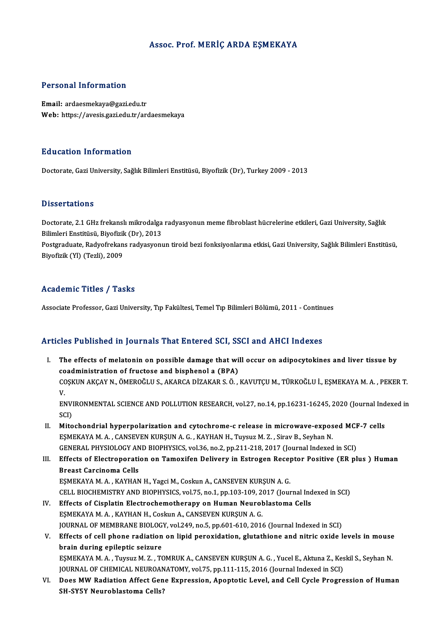### Assoc. Prof.MERİÇ ARDA EŞMEKAYA

### Personal Information

Email: ardaesmekaya@gazi.edu.tr Web: https://avesis.gazi.edu.tr/ardaesmekaya

### Education Information

Doctorate, Gazi University, Sağlık Bilimleri Enstitüsü, Biyofizik (Dr), Turkey 2009 - 2013

### **Dissertations**

Dissertations<br>Doctorate, 2.1 GHz frekanslı mikrodalga radyasyonun meme fibroblast hücrelerine etkileri, Gazi University, Sağlık<br>Bilimleri Enstitüsü, Bivefirik (Dr), 2012 Bilimleri<br>Bilimleri Enstitüsü, Biyofizik (Dr), 2013<br>Bestanaduata Badyafrakans radvasyoru Doctorate, 2.1 GHz frekanslı mikrodalga radyasyonun meme fibroblast hücrelerine etkileri, Gazi University, Sağlık<br>Bilimleri Enstitüsü, Biyofizik (Dr), 2013<br>Postgraduate, Radyofrekans radyasyonun tiroid bezi fonksiyonlarına

Bilimleri Enstitüsü, Biyofizik (Dr), 2013<br>Postgraduate, Radyofrekans radyasyonun tiroid bezi fonksiyonlarına etkisi, Gazi University, Sağlık Bilimleri Enstitüsü,<br>Biyofizik (Yl) (Tezli), 2009

### Academic Titles / Tasks

Associate Professor, Gazi University, Tıp Fakültesi, Temel Tıp Bilimleri Bölümü, 2011 - Continues

### Articles Published in Journals That Entered SCI, SSCI and AHCI Indexes

- rticles Published in Journals That Entered SCI, SSCI and AHCI Indexes<br>I. The effects of melatonin on possible damage that will occur on adipocytokines and liver tissue by<br>coodministration of fructose and bisphonel a (PBA) The effects of melatonin on possible damage that wi<br>coadministration of fructose and bisphenol a (BPA)<br>COSVIIN AVCAV N. ÖMEROČLUS, AVARCA DIZAVAR S. Ö. coadministration of fructose and bisphenol a (BPA)<br>COŞKUN AKÇAY N., ÖMEROĞLU S., AKARCA DİZAKAR S. Ö. , KAVUTÇU M., TÜRKOĞLU İ., EŞMEKAYA M. A. , PEKER T.<br>V. CO<br>CC<br>EA COȘKUN AKÇAY N., ÖMEROĞLU S., AKARCA DİZAKAR S. Ö. , KAVUTÇU M., TÜRKOĞLU İ., EŞMEKAYA M. A. , PEKER T.<br>V.<br>ENVIRONMENTAL SCIENCE AND POLLUTION RESEARCH, vol.27, no.14, pp.16231-16245, 2020 (Journal Indexed in<br>SCD V<br>ENVI<br>SCI)<br>Mito ENVIRONMENTAL SCIENCE AND POLLUTION RESEARCH, vol.27, no.14, pp.16231-16245, 2020 (Journal Ind<br>SCI)<br>II. Mitochondrial hyperpolarization and cytochrome-c release in microwave-exposed MCF-7 cells<br>ESMEKAVA M.A. CANEVEN KURSUN
- SCI)<br>II. Mitochondrial hyperpolarization and cytochrome-c release in microwave-exposed MCF-7 cells<br>EŞMEKAYA M.A., CANSEVEN KURŞUN A.G., KAYHAN H., Tuysuz M. Z., Sirav B., Seyhan N. Mitochondrial hyperpolarization and cytochrome-c release in microwave-exposed MCF<br>EŞMEKAYA M. A. , CANSEVEN KURŞUN A. G. , KAYHAN H., Tuysuz M. Z. , Sirav B., Seyhan N.<br>GENERAL PHYSIOLOGY AND BIOPHYSICS, vol.36, no.2, pp.2
- III. Effects of Electroporation on Tamoxifen Delivery in Estrogen Receptor Positive (ER plus ) Human<br>Breast Carcinoma Cells **GENERAL PHYSIOLOGY AN<br>Effects of Electroporati**<br>Breast Carcinoma Cells<br>ESMEKAYA M A - KAYHAN Effects of Electroporation on Tamoxifen Delivery in Estrogen Recep<br>Breast Carcinoma Cells<br>EŞMEKAYA M.A., KAYHAN H., Yagci M., Coskun A., CANSEVEN KURŞUN A. G.<br>CELL RIQCHEMISTRY AND RIQRHYSICS vol 75 no.1 nn 103 109 2017 (J

CELL BIOCHEMISTRY AND BIOPHYSICS, vol.75, no.1, pp.103-109, 2017 (Journal Indexed in SCI)<br>IV. Effects of Cisplatin Electrochemotherapy on Human Neuroblastoma Cells

- EŞMEKAYA M. A., KAYHAN H., Yagci M., Coskun A., CANSEVEN KURŞUN A. G.<br>CELL BIOCHEMISTRY AND BIOPHYSICS, vol.75, no.1, pp.103-109, 2017 (Journal Ind<br>IV. Effects of Cisplatin Electrochemotherapy on Human Neuroblastoma Cells<br> EŞMEKAYA M. A., KAYHAN H., Coskun A., CANSEVEN KURŞUN A. G. JOURNAL OF MEMBRANE BIOLOGY, vol.249, no.5, pp.601-610, 2016 (Journal Indexed in SCI) EŞMEKAYA M. A. , KAYHAN H., Coskun A., CANSEVEN KURŞUN A. G.<br>JOURNAL OF MEMBRANE BIOLOGY, vol.249, no.5, pp.601-610, 2016 (Journal Indexed in SCI)<br>V. Effects of cell phone radiation on lipid peroxidation, glutathione and n
- brain during epileptic seizure Effects of cell phone radiation on lipid peroxidation, glutathione and nitric oxide levels in mouse<br>brain during epileptic seizure<br>EŞMEKAYA M.A., Tuysuz M. Z., TOMRUK A., CANSEVEN KURŞUN A. G., Yucel E., Aktuna Z., Keskil EŞMEKAYA M. A. , Tuysuz M. Z. , TOMRUK A., CANSEVEN KURŞUN A. G. , Yucel E., Aktuna Z., Keskil S., Seyhan N.<br>JOURNAL OF CHEMICAL NEUROANATOMY, vol.75, pp.111-115, 2016 (Journal Indexed in SCI)
- EŞMEKAYA M. A. , Tuysuz M. Z. , TOMRUK A., CANSEVEN KURŞUN A. G. , Yucel E., Aktuna Z., Keskil S., Seyhan N.<br>JOURNAL OF CHEMICAL NEUROANATOMY, vol.75, pp.111-115, 2016 (Journal Indexed in SCI)<br>VI. Does MW Radiation Affect JOURNAL OF CHEMICAL NEUROAN<br>Does MW Radiation Affect Gen<br>SH-SY5Y Neuroblastoma Cells?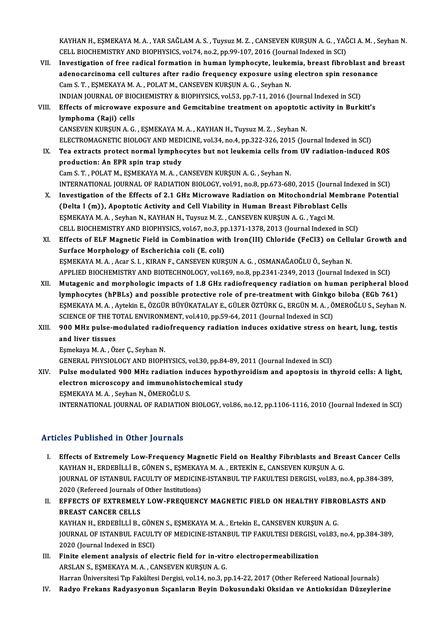KAYHAN H., EŞMEKAYA M. A. , YAR SAĞLAM A. S. , Tuysuz M. Z. , CANSEVEN KURŞUN A. G. , YAĞCI A. M. , Seyhan N.<br>CELL RIQCHEMISTRY AND RIQRHYSICS, YAL7A. R9.3, PR.99, 197, 2916 (Journal Indoved in SCL) KAYHAN H., EŞMEKAYA M. A. , YAR SAĞLAM A. S. , Tuysuz M. Z. , CANSEVEN KURŞUN A. G. , YAĞ<br>CELL BIOCHEMISTRY AND BIOPHYSICS, vol.74, no.2, pp.99-107, 2016 (Journal Indexed in SCI)<br>Investigation of free redicel formation in KAYHAN H., EŞMEKAYA M. A., YAR SAĞLAM A. S., Tuysuz M. Z., CANSEVEN KURŞUN A. G., YAĞCI A. M., Seyhan N<br>CELL BIOCHEMISTRY AND BIOPHYSICS, vol.74, no.2, pp.99-107, 2016 (Journal Indexed in SCI)<br>VII. Investigation of free ra

CELL BIOCHEMISTRY AND BIOPHYSICS, vol.74, no.2, pp.99-107, 2016 (Journal Indexed in SCI)<br>Investigation of free radical formation in human lymphocyte, leukemia, breast fibroblast and<br>adenocarcinoma cell cultures after radio Investigation of free radical formation in human lymphocyte, leuke:<br>adenocarcinoma cell cultures after radio frequency exposure using<br>Cam S.T., EŞMEKAYA M.A., POLAT M., CANSEVEN KURŞUN A.G., Seyhan N.<br>INDIAN IOUPNAL OF PIO adenocarcinoma cell cultures after radio frequency exposure using electron spin reson<br>Cam S. T. , EŞMEKAYA M. A. , POLAT M., CANSEVEN KURŞUN A. G. , Seyhan N.<br>INDIAN JOURNAL OF BIOCHEMISTRY & BIOPHYSICS, vol.53, pp.7-11, 2 Cam S. T., ESMEKAYA M. A., POLAT M., CANSEVEN KURSUN A. G., Seyhan N.<br>INDIAN JOURNAL OF BIOCHEMISTRY & BIOPHYSICS, vol.53, pp.7-11, 2016 (Journal Indexed in SCI)<br>VIII. Effects of microwave exposure and Gemcitabine treatmen

## INDIAN JOURNAL OF BIO<br>Effects of microwave e<br>lymphoma (Raji) cells<br>CANSEVEN KURSUM A C Effects of microwave exposure and Gemcitabine treatment on apoptotic<br>lymphoma (Raji) cells<br>CANSEVEN KURŞUN A.G., EŞMEKAYA M.A., KAYHAN H., Tuysuz M. Z., Seyhan N.<br>ELECTROMACNETIC RIQLOCY AND MEDICINE vel 34 no 4 nn 322 326

- l<mark>ymphoma (Raji) cells</mark><br>CANSEVEN KURŞUN A. G. , EŞMEKAYA M. A. , KAYHAN H., Tuysuz M. Z. , Seyhan N.<br>ELECTROMAGNETIC BIOLOGY AND MEDICINE, vol.34, no.4, pp.322-326, 2015 (Journal Indexed in SCI)<br>Tee extrests pretest permal CANSEVEN KURŞUN A. G., EŞMEKAYA M. A., KAYHAN H., Tuysuz M. Z., Seyhan N.<br>ELECTROMAGNETIC BIOLOGY AND MEDICINE, vol.34, no.4, pp.322-326, 2015 (Journal Indexed in SCI)<br>IX. Tea extracts protect normal lymphocytes but not le ELECTROMAGNETIC BIOLOGY AND MED<br>Tea extracts protect normal lympho<br>production: An EPR spin trap study<br>Cam S T - POLATM ESMEVAVA M A - C Tea extracts protect normal lymphocytes but not leukemia cells from UV radiation-induced ROS<br>production: An EPR spin trap study<br>Cam S. T. , POLAT M., EŞMEKAYA M. A. , CANSEVEN KURŞUN A. G. , Seyhan N. production: An EPR spin trap study<br>Cam S. T. , POLAT M., EŞMEKAYA M. A. , CANSEVEN KURŞUN A. G. , Seyhan N.<br>INTERNATIONAL JOURNAL OF RADIATION BIOLOGY, vol.91, no.8, pp.673-680, 2015 (Journal Indexed in SCI)<br>Investigation
	-

- Cam S. T., POLAT M., ESMEKAYA M. A., CANSEVEN KURSUN A. G., Seyhan N.<br>INTERNATIONAL JOURNAL OF RADIATION BIOLOGY, vol.91, no.8, pp.673-680, 2015 (Journal Indexed in SCI)<br>X. Investigation of the Effects of 2.1 GHz Microwave INTERNATIONAL JOURNAL OF RADIATION BIOLOGY, vol.91, no.8, pp.673-680, 2015 (Journal In<br>Investigation of the Effects of 2.1 GHz Microwave Radiation on Mitochondrial Memb<br>(Delta I (m)), Apoptotic Activity and Cell Viability X. Investigation of the Effects of 2.1 GHz Microwave Radiation on Mitochondrial Membrane Potential (Delta I (m)), Apoptotic Activity and Cell Viability in Human Breast Fibroblast Cells<br>ESMEKAYA M. A. , Seyhan N., KAYHAN H. CELLBIOCHEMISTRYANDBIOPHYSICS,vol.67,no.3,pp.1371-1378,2013 (Journal Indexed inSCI) EŞMEKAYA M. A. , Seyhan N., KAYHAN H., Tuysuz M. Z. , CANSEVEN KURŞUN A. G. , Yagci M.<br>CELL BIOCHEMISTRY AND BIOPHYSICS, vol.67, no.3, pp.1371-1378, 2013 (Journal Indexed in SCI)<br>XI. Effects of ELF Magnetic Field in Combin
- CELL BIOCHEMISTRY AND BIOPHYSICS, vol.67, no.3, pp<br>Effects of ELF Magnetic Field in Combination wit<br>Surface Morphology of Escherichia coli (E. coli)<br>ESMEKAYA M.A. Agar S.J., KIRAN E. CANSEVEN KURA Effects of ELF Magnetic Field in Combination with Iron(III) Chloride (FeCl3) on Cellu<br>Surface Morphology of Escherichia coli (E. coli)<br>EŞMEKAYA M. A. , Acar S. I. , KIRAN F., CANSEVEN KURŞUN A. G. , OSMANAĞAOĞLU Ö., Seyhan Surface Morphology of Escherichia coli (E. coli)<br>EŞMEKAYA M. A. , Acar S. I. , KIRAN F., CANSEVEN KURŞUN A. G. , OSMANAĞAOĞLU Ö., Seyhan N.<br>APPLIED BIOCHEMISTRY AND BIOTECHNOLOGY, vol.169, no.8, pp.2341-2349, 2013 (Journal EŞMEKAYA M. A., Acar S. I., KIRAN F., CANSEVEN KURŞUN A. G., OSMANAĞAOĞLU Ö., Seyhan N.<br>APPLIED BIOCHEMISTRY AND BIOTECHNOLOGY, vol.169, no.8, pp.2341-2349, 2013 (Journal Indexed in SCI)<br>XII. Mutagenic and morphologic impa
- APPLIED BIOCHEMISTRY AND BIOTECHNOLOGY, vol.169, no.8, pp.2341-2349, 2013 (Journal Indexed in SCI)<br>Mutagenic and morphologic impacts of 1.8 GHz radiofrequency radiation on human peripheral blo<br>lymphocytes (hPBLs) and possi Mutagenic and morphologic impacts of 1.8 GHz radiofrequency radiation on human peripheral blood<br>lymphocytes (hPBLs) and possible protective role of pre-treatment with Ginkgo biloba (EGb 761)<br>ESMEKAYA M.A., Aytekin E., ÖZGÜ lymphocytes (hPBLs) and possible protective role of pre-treatment with Ginkgo biloba (EGb 761)<br>ESMEKAYA M. A. , Aytekin E., ÖZGÜR BÜYÜKATALAY E., GÜLER ÖZTÜRK G., ERGÜN M. A. , ÖMEROĞLU S., Seyhan N.<br>SCIENCE OF THE TOTAL E EŞMEKAYA M. A. , Aytekin E., ÖZGÜR BÜYÜKATALAY E., GÜLER ÖZTÜRK G., ERGÜN M. A. , ÖMEROĞLU S., Seyhan<br>SCIENCE OF THE TOTAL ENVIRONMENT, vol.410, pp.59-64, 2011 (Journal Indexed in SCI)<br>XIII. 900 MHz pulse-modulated radiofr

### SCIENCE OF THE TO<br>900 MHz pulse-m<br>and liver tissues 900 MHz pulse-modulated radi<br>and liver tissues<br>Eşmekaya M.A., Özer Ç., Seyhan N.<br>CENERAL PHYSIOLOCY AND PIOPL and liver tissues<br>Eşmekaya M. A. , Özer Ç., Seyhan N.<br>GENERAL PHYSIOLOGY AND BIOPHYSICS, vol.30, pp.84-89, 2011 (Journal Indexed in SCI)

XIV. Pulse modulated 900 MHz radiation induces hypothyroidism and apoptosis in thyroid cells: A light, GENERAL PHYSIOLOGY AND BIOPHYSICS, vol.30, pp.84-89, 2<br>Pulse modulated 900 MHz radiation induces hypothyr<br>electron microscopy and immunohistochemical study<br>ESMEKAYAM A. Sayban N. ÖMEROČLUS Pulse modulated 900 MHz radiation in<br>electron microscopy and immunohisto<br>EŞMEKAYA M.A., Seyhan N., ÖMEROĞLU S.<br>INTERNATIONAL JOURNAL OF RADIATION

EŞMEKAYA M. A. , Seyhan N., ÖMEROĞLU S.<br>INTERNATIONAL JOURNAL OF RADIATION BIOLOGY, vol.86, no.12, pp.1106-1116, 2010 (Journal Indexed in SCI)

### Articles Published in Other Journals

- Thicles Published in Other Journals<br>I. Effects of Extremely Low-Frequency Magnetic Field on Healthy Fibriblasts and Breast Cancer Cells<br>KAVHAN H. EPDERLLLLR, CÖNEN S. ESMEKAVA M.A., ERTEKIN E. CANSEVEN KURSUN A.C. KES I WENENCU IN CENCI JOUINUS<br>Effects of Extremely Low-Frequency Magnetic Field on Healthy Fibriblasts and Bre<br>KAYHAN H., ERDEBİLLİ B., GÖNEN S., EŞMEKAYA M. A. , ERTEKİN E., CANSEVEN KURŞUN A. G.<br>IQUPNAL OF ISTANPUL FACU Effects of Extremely Low-Frequency Magnetic Field on Healthy Fibriblasts and Breast Cancer Cel<br>KAYHAN H., ERDEBİLLİ B., GÖNEN S., EŞMEKAYA M. A. , ERTEKİN E., CANSEVEN KURŞUN A. G.<br>JOURNAL OF ISTANBUL FACULTY OF MEDICINE-I KAYHAN H., ERDEBİLLİ B., GÖNEN S., EŞMEKAY<br>JOURNAL OF ISTANBUL FACULTY OF MEDICINI<br>2020 (Refereed Journals of Other Institutions)<br>FERECTS OF EXTREMELY LOW EREQUENC JOURNAL OF ISTANBUL FACULTY OF MEDICINE-ISTANBUL TIP FAKULTESI DERGISI, vol.83, no.4, pp.384-389,<br>2020 (Refereed Journals of Other Institutions)<br>II. EFFECTS OF EXTREMELY LOW-FREQUENCY MAGNETIC FIELD ON HEALTHY FIBROBLASTS 2020 (Refereed Journals of Other Institutions)
- EFFECTS OF EXTREMELY LOW-FREQUENCY MAGNETIC FIELD ON HEALTHY FIBRO<br>BREAST CANCER CELLS<br>KAYHAN H., ERDEBİLLİ B., GÖNEN S., EŞMEKAYA M. A. , Ertekin E., CANSEVEN KURŞUN A. G.<br>JOUPMAL OF ISTANPUL FACULTY OF MEDICINE ISTANPUL JOURNAL OF ISTANBUL FACULTY OF MEDICINE-ISTANBUL TIP FAKULTESI DERGISI, vol.83, no.4, pp.384-389,<br>2020 (Journal Indexed in ESCI) KAYHAN H., ERDEBİLLİ B., GÖNI<br>JOURNAL OF ISTANBUL FACULT<br>2020 (Journal Indexed in ESCI)<br>Finite element anelysis of el I I. JOURNAL OF ISTANBUL FACULTY OF MEDICINE-ISTANBUL TIP FAKULTESI DERGISI, v<br>2020 (Journal Indexed in ESCI)<br>III. Finite element analysis of electric field for in-vitro electropermeabilization<br>ARSLAN S. FEMEVAVA M.A. CANS
- 2020 (Journal Indexed in ESCI)<br>Finite element analysis of electric field for in-viti<br>ARSLAN S., EŞMEKAYA M.A., CANSEVEN KURŞUN A.G.<br>Harran Üniversitesi Tın Felsültesi Dergisi vel 14 ne <sup>2</sup> n Finite element analysis of electric field for in-vitro electropermeabilization<br>ARSLAN S., EŞMEKAYA M. A. , CANSEVEN KURŞUN A. G.<br>Harran Üniversitesi Tıp Fakültesi Dergisi, vol.14, no.3, pp.14-22, 2017 (Other Refereed Natio ARSLAN S., EŞMEKAYA M. A. , CANSEVEN KURŞUN A. G.<br>Harran Üniversitesi Tıp Fakültesi Dergisi, vol.14, no.3, pp.14-22, 2017 (Other Refereed National Journals)<br>IV. Radyo Frekans Radyasyonun Sıçanların Beyin Dokusundaki Ok
-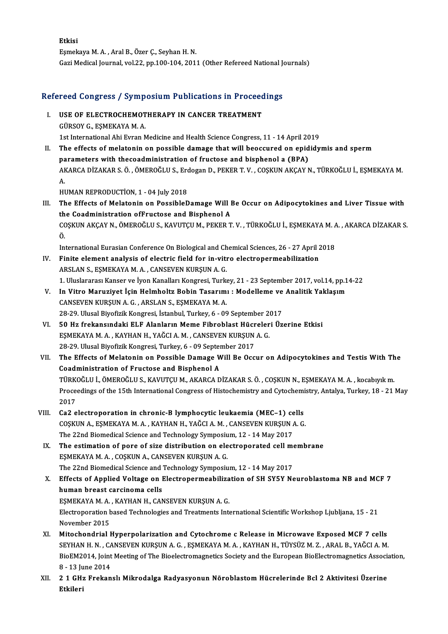Etkisi EşmekayaM.A. ,AralB.,Özer Ç.,SeyhanH.N. Gazi Medical Journal, vol.22, pp.100-104, 2011 (Other Refereed National Journals)

# uazi medical journal, vol.22, pp.100-104, 2011 (Other Refereed National journal)<br>Refereed Congress / Symposium Publications in Proceedings

- Efereed Congress / Symposium Publications in Proceed<br>I. USE OF ELECTROCHEMOTHERAPY IN CANCER TREATMENT I. USE OF ELECTROCHEMOTHERAPY IN CANCER TREATMENT<br>GÜRSOY G., EŞMEKAYA M. A. 1st International Ahi Evran Medicine and Health Science Congress, 11 - 14 April 2019
- II. The effects of melatonin on possible damage that will beoccured on epididymis and sperm parameters with thecoadministration of fructose and bisphenol a (BPA) The effects of melatonin on possible damage that will beoccured on epididymis and sperm<br>parameters with thecoadministration of fructose and bisphenol a (BPA)<br>AKARCA DİZAKAR S.Ö.,ÖMEROĞLU S., Erdogan D., PEKER T. V. , COŞKU pa<br>Al<br>A. AKARCA DİZAKAR S. Ö. , ÖMEROĞLU S., Ero<br>A.<br>HUMAN REPRODUCTİON, 1 - 04 July 2018<br>The Effects of Melatenin en Bessible P

A.<br>HUMAN REPRODUCTION, 1 - 04 July 2018<br>III. The Effects of Melatonin on PossibleDamage Will Be Occur on Adipocytokines and Liver Tissue with<br>the Coadministration of Enustors and Bianhanal A HUMAN REPRODUCTION, 1 - 04 July 2018<br>The Effects of Melatonin on PossibleDamage Will I<br>the Coadministration ofFructose and Bisphenol A<br>COSVIN AVCAV N. ÖMEROČLUS, KAVUTCU M. PEKER T The Effects of Melatonin on PossibleDamage Will Be Occur on Adipocytokines and Liver Tissue with<br>the Coadministration ofFructose and Bisphenol A<br>COŞKUN AKÇAY N., ÖMEROĞLU S., KAVUTÇU M., PEKER T. V. , TÜRKOĞLU İ., EŞMEKAYA th<br>CC<br>Ö. COȘKUN AKÇAY N., ÖMEROĞLU S., KAVUTÇU M., PEKER T. V. , TÜRKOĞLU İ., EŞMEKAYA M. .<br>Ö.<br>International Eurasian Conference On Biological and Chemical Sciences, 26 - 27 April 2018<br>Einite alement analysis of alectric field for

International Eurasian Conference On Biological and Chemical Sciences, 26 - 27 April 2018

- O.<br>International Eurasian Conference On Biological and Chemical Sciences, 26 27 April 1<br>IV. Finite element analysis of electric field for in-vitro electropermeabilization<br>ARSLAN S., ESMEKAYA M. A., CANSEVEN KURSUN A. G. Finite element analysis of electric field for in-vitro electropermeabilization<br>ARSLAN S., EŞMEKAYA M. A. , CANSEVEN KURŞUN A. G.<br>1. Uluslararası Kanser ve İyon Kanalları Kongresi, Turkey, 21 - 23 September 2017, vol.14, pp ARSLAN S., EŞMEKAYA M. A. , CANSEVEN KURŞUN A. G.<br>1. Uluslararası Kanser ve İyon Kanalları Kongresi, Turkey, 21 - 23 September 2017, vol.14, pp.1<br>1. In Vitro Maruziyet İçin Helmholtz Bobin Tasarımı : Modelleme ve Analitik
- 1. Uluslararası Kanser ve İyon Kanalları Kongresi, Turkı<br>In Vitro Maruziyet İçin Helmholtz Bobin Tasarımı<br>CANSEVEN KURŞUN A. G. , ARSLAN S., EŞMEKAYA M. A.<br>28.29. Ulusal Biyofirik Kongresi, İstanbul Turkey, 6.08 In Vitro Maruziyet İçin Helmholtz Bobin Tasarımı : Modelleme ve<br>CANSEVEN KURŞUN A. G. , ARSLAN S., EŞMEKAYA M. A.<br>28-29. Ulusal Biyofizik Kongresi, İstanbul, Turkey, 6 - 09 September 2017<br>50 Hz frekensındaki ELE Alanların CANSEVEN KURŞUN A. G., ARSLAN S., EŞMEKAYA M. A.<br>28-29. Ulusal Biyofizik Kongresi, İstanbul, Turkey, 6 - 09 September 2017<br>VI. 50 Hz frekansındaki ELF Alanların Meme Fibroblast Hücreleri Üzerine Etkisi
- 28-29. Ulusal Biyofizik Kongresi, İstanbul, Turkey, 6 09 September 20<br>50 Hz frekansındaki ELF Alanların Meme Fibroblast Hücreler<br>EŞMEKAYA M. A. , KAYHAN H., YAĞCI A. M. , CANSEVEN KURŞUN A. G.<br>28.29. Ulusal Biyofizik Kon 50 Hz frekansındaki ELF Alanların Meme Fibroblast Hücr<br>EŞMEKAYA M. A. , KAYHAN H., YAĞCI A. M. , CANSEVEN KURŞUN<br>28-29. Ulusal Biyofizik Kongresi, Turkey, 6 - 09 September 2017<br>The Effects of Molatanin an Possible Damage W EŞMEKAYA M. A. , KAYHAN H., YAĞCI A. M. , CANSEVEN KURŞUN A. G.<br>28-29. Ulusal Biyofizik Kongresi, Turkey, 6 - 09 September 2017<br>VII. The Effects of Melatonin on Possible Damage Will Be Occur on Adipocytokines and Testi
- 28-29. Ulusal Biyofizik Kongresi, Turkey, 6 09 Septer<br>The Effects of Melatonin on Possible Damage W<br>Coadministration of Fructose and Bisphenol A<br>TÜRKOĞLUL ÖMEROĞLUS KAVUTCUM AKARCA D The Effects of Melatonin on Possible Damage Will Be Occur on Adipocytokines and Testis With Th<br>Coadministration of Fructose and Bisphenol A<br>TÜRKOĞLU İ., ÖMEROĞLU S., KAVUTÇU M., AKARCA DİZAKAR S. Ö. , COŞKUN N., EŞMEKAYA M Coadministration of Fructose and Bisphenol A<br>TÜRKOĞLU İ., ÖMEROĞLU S., KAVUTÇU M., AKARCA DİZAKAR S. Ö. , COŞKUN N., EŞMEKAYA M. A. , kocabıyık m.<br>Proceedings of the 15th International Congress of Histochemistry and Cytoch TÜRKOĞLU İ., ÖMEROĞLU S., KAVUTÇU M., AKARCA DİZAKAR S. Ö., COŞKUN N., EŞMEKAYA M. A., kocabıyık m.
- VIII. Ca2 electroporation in chronic-B lymphocytic leukaemia (MEC-1) cells 2017<br>Ca2 electroporation in chronic-B lymphocytic leukaemia (MEC–1) cells<br>COŞKUN A., EŞMEKAYA M. A. , KAYHAN H., YAĞCI A. M. , CANSEVEN KURŞUN A. G.<br>The 22nd Biomedical Science and Technology Symposium 12, 14 May 2017 Ca2 electroporation in chronic-B lymphocytic leukaemia (MEC-1) ce<br>COȘKUN A., EȘMEKAYA M. A., KAYHAN H., YAĞCI A. M., CANSEVEN KURȘUN *I*<br>The 22nd Biomedical Science and Technology Symposium, 12 - 14 May 2017 COSKUN A., ESMEKAYA M. A., KAYHAN H., YAĞCI A. M., CANSEVEN KURSUN A. G.<br>The 22nd Biomedical Science and Technology Symposium, 12 - 14 May 2017<br>IX. The estimation of pore of size distribution on electroporated cell membran
	- The 22nd Biomedical Science and Technology Symposium, 12 14 May 2017<br>The estimation of pore of size distribution on electroporated cell m<br>ESMEKAYA M.A., COSKUN A., CANSEVEN KURSUN A. G.<br>The 22nd Biomedical Science and Te IX. The estimation of pore of size distribution on electroporated cell membrane EŞMEKAYA M. A. , COŞKUN A., CANSEVEN KURŞUN A. G.<br>The 22nd Biomedical Science and Technology Symposium, 12 - 14 May 2017<br>X. Effects of Applied Voltage on Electropermeabilization of SH SY5Y Neuroblastoma NB and MCF 7<br>human
	- The 22nd Biomedical Science and<br>Effects of Applied Voltage on I<br>human breast carcinoma cells<br>ESMEKAYA M A KAYHAN H CAN Effects of Applied Voltage on Electropermeabiliza<br>human breast carcinoma cells<br>EŞMEKAYA M. A. , KAYHAN H., CANSEVEN KURŞUN A. G.<br>Electroperation based Technologies and Treatments Inte human breast carcinoma cells<br>EŞMEKAYA M. A. , KAYHAN H., CANSEVEN KURŞUN A. G.<br>Electroporation based Technologies and Treatments International Scientific Workshop Ljubljana, 15 - 21<br>Navember 2015 ESMEKAYA M. A.<br>Electroporation b<br>November 2015<br>Mitoshondrial l Electroporation based Technologies and Treatments International Scientific Workshop Ljubljana, 15 - 21<br>November 2015<br>XI. Mitochondrial Hyperpolarization and Cytochrome c Release in Microwave Exposed MCF 7 cells<br>SEVUAN H.N.
- November 2015<br>Mitochondrial Hyperpolarization and Cytochrome c Release in Microwave Exposed MCF 7 cells<br>SEYHAN H. N. , CANSEVEN KURŞUN A. G. , EŞMEKAYA M. A. , KAYHAN H., TÜYSÜZ M. Z. , ARAL B., YAĞCI A. M.<br>BioEM2014, Join Mitochondrial Hyperpolarization and Cytochrome c Release in Microwave Exposed MCF 7 cells<br>SEYHAN H. N. , CANSEVEN KURŞUN A. G. , EŞMEKAYA M. A. , KAYHAN H., TÜYSÜZ M. Z. , ARAL B., YAĞCI A. M.<br>BioEM2014, Joint Meeting of T SEYHAN H. N. , CA<br>BioEM2014, Joint<br>8 - 13 June 2014<br>2 1 GHz Enckan BioEM2014, Joint Meeting of The Bioelectromagnetics Society and the European BioElectromagnetics Associa<br>8 - 13 June 2014<br>XII. 2 1 GHz Frekanslı Mikrodalga Radyasyonun Nöroblastom Hücrelerinde Bcl 2 Aktivitesi Üzerine<br>Ethi
- 8 13 Ju<br><mark>2 1 GH:</mark><br>Etkileri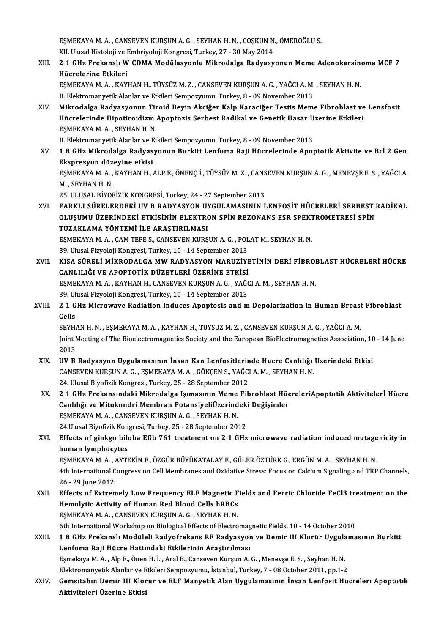EŞMEKAYA M. A. , CANSEVEN KURŞUN A. G. , SEYHAN H. N. , COŞKUN N., ÖMEROĞLU S.<br>YU Ulyasl Histoloji ve Embriyoloji Kongresi Turkey, 27, -20 May 2014. EŞMEKAYA M. A. , CANSEVEN KURŞUN A. G. , SEYHAN H. N. , COŞKUN N<br>XII. Ulusal Histoloji ve Embriyoloji Kongresi, Turkey, 27 - 30 May 2014<br>2.1 CHr Enakanalı W. CDMA Madülasyanlı, Mikrodalga Badyasy EŞMEKAYA M. A. , CANSEVEN KURŞUN A. G. , SEYHAN H. N. , COŞKUN N., ÖMEROĞLU S.<br>XII. Ulusal Histoloji ve Embriyoloji Kongresi, Turkey, 27 - 30 May 2014<br>XIII. 21 GHz Frekanslı W CDMA Modülasyonlu Mikrodalga Radyasyonun Meme XII. Ulusal Histoloji ve Embriyoloji Kongresi, Turkey, 27 - 30 May 2014<br>2 1 GHz Frekanslı W CDMA Modülasyonlu Mikrodalga Radyasy<br>Hücrelerine Etkileri 2 1 GHz Frekanslı W CDMA Modülasyonlu Mikrodalga Radyasyonun Meme Adenokarsin<br>Hücrelerine Etkileri<br>EŞMEKAYA M. A. , KAYHAN H., TÜYSÜZ M. Z. , CANSEVEN KURŞUN A. G. , YAĞCI A. M. , SEYHAN H. N.<br>H. Elektromanyetik Alanlar ve EŞMEKAYA M. A. , KAYHAN H., TÜYSÜZ M. Z. , CANSEVEN KURŞUN A. G. , YAĞCI A. M. , SEYHAN H. N.<br>II. Elektromanyetik Alanlar ve Etkileri Sempozyumu, Turkey, 8 - 09 November 2013 EŞMEKAYA M. A. , KAYHAN H., TÜYSÜZ M. Z. , CANSEVEN KURŞUN A. G. , YAĞCI A. M. , SEYHAN H. N.<br>II. Elektromanyetik Alanlar ve Etkileri Sempozyumu, Turkey, 8 - 09 November 2013<br>XIV. Mikrodalga Radyasyonun Tiroid Beyin Ak II. Elektromanyetik Alanlar ve Etkileri Sempozyumu, Turkey, 8 - 09 November 2013<br>Mikrodalga Radyasyonun Tiroid Beyin Akciğer Kalp Karaciğer Testis Meme Fibroblast ve<br>Hücrelerinde Hipotiroidizm Apoptozis Serbest Radikal ve Mikrodalga Radyasyonun Tir<br>Hücrelerinde Hipotiroidizm<br>EŞMEKAYA M.A., SEYHAN H.N.<br>H. Flektromanyatik Alanlar ve Ft Hücrelerinde Hipotiroidizm Apoptozis Serbest Radikal ve Genetik Hasar Üzerine Etkileri<br>EŞMEKAYA M. A. , SEYHAN H. N.<br>II. Elektromanyetik Alanlar ve Etkileri Sempozyumu, Turkey, 8 - 09 November 2013 EŞMEKAYA M. A. , SEYHAN H. N.<br>II. Elektromanyetik Alanlar ve Etkileri Sempozyumu, Turkey, 8 - 09 November 2013<br>XV. 1 8 GHz Mikrodalga Radyasyonun Burkitt Lenfoma Raji Hücrelerinde Apoptotik Aktivite ve Bcl 2 Gen<br>Ekanza II. Elektromanyetik Alanlar ve E<br>1 8 GHz Mikrodalga Radyas<br>Ekspresyon düzeyine etkisi<br>ESMEKAVA M A - KAYHAN H 1 8 GHz Mikrodalga Radyasyonun Burkitt Lenfoma Raji Hücrelerinde Apoptotik Aktivite ve Bcl 2 Gen<br>Ekspresyon düzeyine etkisi<br>EŞMEKAYA M. A. , KAYHAN H., ALP E., ÖNENÇ İ., TÜYSÜZ M. Z. , CANSEVEN KURŞUN A. G. , MENEVŞE E. S. Ekspresyon düzeyine etkisi<br>EŞMEKAYA M. A. , KAYHAN H., ALP E., ÖNENÇ İ., TÜYSÜZ M. Z. , CANSEVEN KURŞUN A. G. , MENEVŞE E. S. , YAĞCI A.<br>M. , SEYHAN H. N. 25. ULUSAL BİYOFİZİK KONGRESİ, Turkey, 24 - 27 September 2013 M. , SEYHAN H. N.<br>25. ULUSAL BİYOFİZİK KONGRESİ, Turkey, 24 - 27 September 2013<br>XVI. — FARKLI SÜRELERDEKİ UV B RADYASYON UYGULAMASININ LENFOSİT HÜCRELERİ SERBEST RADİKAL<br>OLUSUMU ÜZERİNDEKİ ETKİSİNIN ELEKTRON SPİN REZONANS 25. ULUSAL BİYOFİZİK KONGRESİ, Turkey, 24 - 27 September 2013<br>FARKLI SÜRELERDEKİ UV B RADYASYON UYGULAMASININ LENFOSİT HÜCRELERİ SERBEST I<br>OLUŞUMU ÜZERİNDEKİ ETKİSİNİN ELEKTRON SPİN REZONANS ESR SPEKTROMETRESİ SPİN<br>TUZAKLA FARKLI SÜRELERDEKİ UV B RADYASYON UY<br>OLUŞUMU ÜZERİNDEKİ ETKİSİNİN ELEKTRO<br>TUZAKLAMA YÖNTEMİ İLE ARAŞTIRILMASI<br>ESMEKAYAMA CAMTEDE S CANSEVEN KURS OLUŞUMU ÜZERİNDEKİ ETKİSİNIN ELEKTRON SPİN REZONANS ESR SPEKTROMETRESİ SPİN<br>TUZAKLAMA YÖNTEMİ İLE ARAŞTIRILMASI<br>EŞMEKAYA M. A. , ÇAM TEPE S., CANSEVEN KURŞUN A. G. , POLAT M., SEYHAN H. N. TUZAKLAMA YÖNTEMİ İLE ARAŞTIRILMASI<br>EŞMEKAYA M. A. , ÇAM TEPE S., CANSEVEN KURŞUN A. G. , POL<br>39. Ulusal Fizyoloji Kongresi, Turkey, 10 - 14 September 2013<br>KISA SÜRELİ MİKRODAL CA MW RADYASYON MARIIZIYI XVII. KISA SÜRELİ MİKRODALGA MW RADYASYON MARUZİYETİNİN DERİ FİBROBLAST HÜCRELERİ HÜCRE<br>CANLILIĞI VE APOPTOTİK DÜZEYLERİ ÜZERİNE ETKİSİ 39. Ulusal Fizyoloji Kongresi, Turkey, 10 - 14 September 2013<br>KISA SÜRELİ MİKRODALGA MW RADYASYON MARUZİYI<br>CANLILIĞI VE APOPTOTİK DÜZEYLERİ ÜZERİNE ETKİSİ<br>ESMEKAYA MAA KAYHAN HAGANSEVEN KURSUNA GAYAĞG KISA SÜRELİ MİKRODALGA MW RADYASYON MARUZİYETİNİN DERİ FİBROI<br>CANLILIĞI VE APOPTOTİK DÜZEYLERİ ÜZERİNE ETKİSİ<br>EŞMEKAYA M. A. , KAYHAN H., CANSEVEN KURŞUN A. G. , YAĞCI A. M. , SEYHAN H. N.<br>20 Ulucal Eizvalaji Kangresi Turk CANLILIĞI VE APOPTOTİK DÜZEYLERİ ÜZERINE ETKİSİ<br>EŞMEKAYA M. A. , KAYHAN H., CANSEVEN KURŞUN A. G. , YAĞ(<br>39. Ulusal Fizyoloji Kongresi, Turkey, 10 - 14 September 2013<br>2.1 CHE Misroveya Badiation Induses Apontosis and m EŞMEKAYA M. A. , KAYHAN H., CANSEVEN KURŞUN A. G. , YAĞCI A. M. , SEYHAN H. N.<br>39. Ulusal Fizyoloji Kongresi, Turkey, 10 - 14 September 2013<br>XVIII. 2 1 GHz Microwave Radiation Induces Apoptosis and m Depolarization in Huma 39. Ulusal Fizyoloji Kongresi, Turkey, 10 - 14 September 2013<br>2 1 GHz Microwave Radiation Induces Apoptosis and m<br>Cells 2 1 GHz Microwave Radiation Induces Apoptosis and m Depolarization in Human Breast<br>Cells<br>SEYHAN H. N. , EŞMEKAYA M. A. , KAYHAN H., TUYSUZ M. Z. , CANSEVEN KURŞUN A. G. , YAĞCI A. M.<br>Joint Mosting of The Bioelectromegratic Joint Meeting of The Bioelectromagnetics Society and the European BioElectromagnetics Association, 10 - 14 June<br>2013 SEYHAN H. N., ESMEKAYA M. A., KAYHAN H., TUYSUZ M. Z., CANSEVEN KURSUN A. G., YAĞCI A. M. Joint Meeting of The Bioelectromagnetics Society and the European BioElectromagnetics Association, 10<br>2013<br>XIX. UV B Radyasyon Uygulamasının İnsan Kan Lenfositlerinde Hucre Canlılığı Uzerindeki Etkisi 2013<br>UV B Radyasyon Uygulamasının İnsan Kan Lenfositlerinde Hucre Canlılığı<br>CANSEVEN KURŞUN A. G. , EŞMEKAYA M. A. , GÖKÇEN S., YAĞCI A. M. , SEYHAN H. N.<br>24 Hlusel Biyofirik Kongresi Turkey, 25 - 28 Santamber 2012 CANSEVEN KURŞUN A. G. , EŞMEKAYA M. A. , GÖKÇEN S., YAĞCI A. M. , SEYHAN H. N.<br>24. Ulusal Biyofizik Kongresi, Turkey, 25 - 28 September 2012 CANSEVEN KURŞUN A. G. , EŞMEKAYA M. A. , GÖKÇEN S., YAĞCI A. M. , SEYHAN H. N.<br>24. Ulusal Biyofizik Kongresi, Turkey, 25 - 28 September 2012<br>XX. 2 1 GHz Frekansındaki Mikrodalga Işımasının Meme Fibroblast HücreleriAp 24. Ulusal Biyofizik Kongresi, Turkey, 25 - 28 September 2012<br>2 1 GHz Frekansındaki Mikrodalga Işımasının Meme Fibroblast Hüc<br>Canlılığı ve Mitokondri Membran PotansiyeliÜzerindeki Değişimler<br>ESMEKAYAM A. GANSEVEN KURSUN A. 2 1 GHz Frekansındaki Mikrodalga Işımasının Meme<br>Canlılığı ve Mitokondri Membran PotansiyeliÜzerind<br>EŞMEKAYA M. A. , CANSEVEN KURŞUN A. G. , SEYHAN H. N.<br>24 Ulusal Biyefirik Konsresi Turkey, 25 , 28 Sertember 20. Canlılığı ve Mitokondri Membran PotansiyeliÜzerindek<br>EŞMEKAYA M. A. , CANSEVEN KURŞUN A. G. , SEYHAN H. N.<br>24.Ulusal Biyofizik Kongresi, Turkey, 25 - 28 September 2012<br>Effects of sinkse bilabe ECb 761 treatment op 3.1 CHT 24. Ulusal Biyofizik Kongresi, Turkey, 25 - 28 September 2012<br>XXI. Effects of ginkgo biloba EGb 761 treatment on 2 1 GHz microwave radiation induced mutagenicity in human lymphocytes Effects of ginkgo biloba EGb 761 treatment on 2 1 GHz microwave radiation induced mutage<br>human lymphocytes<br>EŞMEKAYA M.A., AYTEKİN E., ÖZGÜR BÜYÜKATALAY E., GÜLER ÖZTÜRK G., ERGÜN M.A., SEYHAN H. N.<br>4th International Congre human lymphocytes<br>EŞMEKAYA M. A. , AYTEKİN E., ÖZGÜR BÜYÜKATALAY E., GÜLER ÖZTÜRK G., ERGÜN M. A. , SEYHAN H. N.<br>4th International Congress on Cell Membranes and Oxidative Stress: Focus on Calcium Signaling and TRP Channel EŞMEKAYA M. A., ,<br>4th International C<br>26 - 29 June 2012<br>Effects of Extrem 4th International Congress on Cell Membranes and Oxidative Stress: Focus on Calcium Signaling and TRP Channels,<br>26 - 29 June 2012<br>XXII. Effects of Extremely Low Frequency ELF Magnetic Fields and Ferric Chloride FeCl3 treat 26 - 29 June 2012<br>Effects of Extremely Low Frequency ELF Magnetic F<br>Hemolytic Activity of Human Red Blood Cells hRBCs<br>FSMEKAVAM A. CANSEVEN KURSUN A.C. SEVHAN H.N Effects of Extremely Low Frequency ELF Magnetic F<br>Hemolytic Activity of Human Red Blood Cells hRBCs<br>EŞMEKAYA M.A., CANSEVEN KURŞUN A.G., SEYHAN H.N.<br>Eth International Werkshop op Biological Effects of Electro Hemolytic Activity of Human Red Blood Cells hRBCs<br>EŞMEKAYA M. A. , CANSEVEN KURŞUN A. G. , SEYHAN H. N.<br>6th International Workshop on Biological Effects of Electromagnetic Fields, 10 - 14 October 2010 EŞMEKAYA M. A. , CANSEVEN KURŞUN A. G. , SEYHAN H. N.<br>6th International Workshop on Biological Effects of Electromagnetic Fields, 10 - 14 October 2010<br>XXIII. 18 GHz Frekanslı Modüleli Radyofrekans RF Radyasyon ve Demir III 6th International Workshop on Biological Effects of Electromag<br>1 8 GHz Frekanslı Modüleli Radyofrekans RF Radyasyor<br>Lenfoma Raji Hücre Hattındaki Etkilerinin Araştırılması<br>Famelraya M.A., Alp E. Önen H.İ., Aral B. Cansayon 1 8 GHz Frekanslı Modüleli Radyofrekans RF Radyasyon ve Demir III Klorür Uygula<br>Lenfoma Raji Hücre Hattındaki Etkilerinin Araştırılması<br>Eşmekaya M. A. , Alp E., Önen H. İ. , Aral B., Canseven Kurşun A. G. , Menevşe E. S. , Lenfoma Raji Hücre Hattındaki Etkilerinin Araştırılması<br>Eşmekaya M. A. , Alp E., Önen H. İ. , Aral B., Canseven Kurşun A. G. , Menevşe E. S. , Seyhan H. N.<br>Elektromanyetik Alanlar ve Etkileri Sempozyumu, İstanbul, Turkey, Eşmekaya M. A. , Alp E., Önen H. İ. , Aral B., Canseven Kurşun A. G. , Menevşe E. S. , Seyhan H. N.<br>Elektromanyetik Alanlar ve Etkileri Sempozyumu, İstanbul, Turkey, 7 - 08 October 2011, pp.1-2<br>XXIV. Gemsitabin Demir I Elektromanyetik Alanlar ve E<br>Gemsitabin Demir III Klor<br>Aktiviteleri Üzerine Etkisi